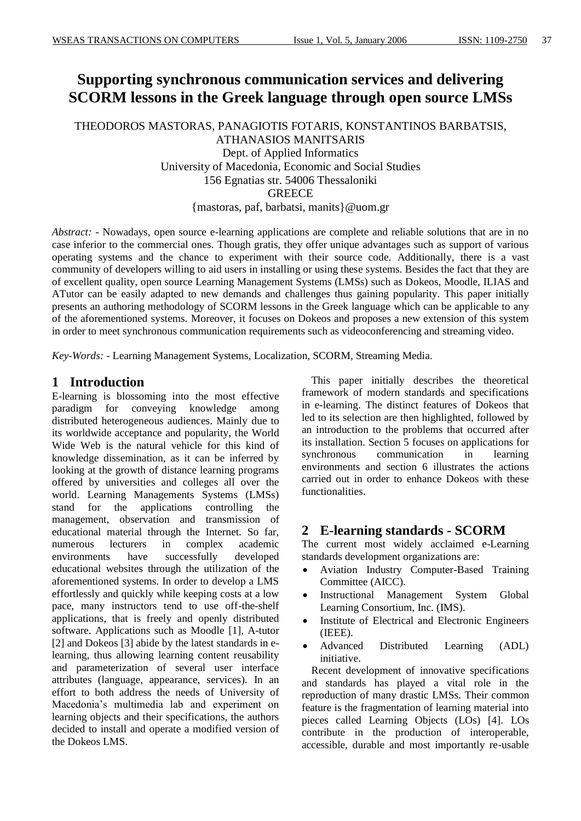# **Supporting synchronous communication services and delivering SCORM lessons in the Greek language through open source LMSs**

THEODOROS MASTORAS, PANAGIOTIS FOTARIS, KONSTANTINOS BARBATSIS, ATHANASIOS MANITSARIS Dept. of Applied Informatics University of Macedonia, Economic and Social Studies

156 Egnatias str. 54006 Thessaloniki

**GREECE** 

{mastoras, paf, barbatsi, manits}@uom.gr

*Abstract:* - Nowadays, open source e-learning applications are complete and reliable solutions that are in no case inferior to the commercial ones. Though gratis, they offer unique advantages such as support of various operating systems and the chance to experiment with their source code. Additionally, there is a vast community of developers willing to aid users in installing or using these systems. Besides the fact that they are of excellent quality, open source Learning Management Systems (LMSs) such as Dokeos, Moodle, ILIAS and ATutor can be easily adapted to new demands and challenges thus gaining popularity. This paper initially presents an authoring methodology of SCORM lessons in the Greek language which can be applicable to any of the aforementioned systems. Moreover, it focuses on Dokeos and proposes a new extension of this system in order to meet synchronous communication requirements such as videoconferencing and streaming video.

*Key-Words: -* Learning Management Systems, Localization, SCORM, Streaming Media.

## **1 Introduction**

E-learning is blossoming into the most effective paradigm for conveying knowledge among distributed heterogeneous audiences. Mainly due to its worldwide acceptance and popularity, the World Wide Web is the natural vehicle for this kind of knowledge dissemination, as it can be inferred by looking at the growth of distance learning programs offered by universities and colleges all over the world. Learning Managements Systems (LMSs) stand for the applications controlling the management, observation and transmission of educational material through the Internet. So far, numerous lecturers in complex academic environments have successfully developed educational websites through the utilization of the aforementioned systems. In order to develop a LMS effortlessly and quickly while keeping costs at a low pace, many instructors tend to use off-the-shelf applications, that is freely and openly distributed software. Applications such as Moodle [1], A-tutor [2] and Dokeos [3] abide by the latest standards in elearning, thus allowing learning content reusability and parameterization of several user interface attributes (language, appearance, services). In an effort to both address the needs of University of Macedonia's multimedia lab and experiment on learning objects and their specifications, the authors decided to install and operate a modified version of the Dokeos LMS.

This paper initially describes the theoretical framework of modern standards and specifications in e-learning. The distinct features of Dokeos that led to its selection are then highlighted, followed by an introduction to the problems that occurred after its installation. Section 5 focuses on applications for synchronous communication in learning environments and section 6 illustrates the actions carried out in order to enhance Dokeos with these functionalities.

## **2 E-learning standards - SCORM**

The current most widely acclaimed e-Learning standards development organizations are:

- Aviation Industry Computer-Based Training Committee (AICC).
- Instructional Management System Global Learning Consortium, Inc. (IMS).
- Institute of Electrical and Electronic Engineers (IEEE).
- Advanced Distributed Learning (ADL) initiative.

Recent development of innovative specifications and standards has played a vital role in the reproduction of many drastic LMSs. Their common feature is the fragmentation of learning material into pieces called Learning Objects (LOs) [4]. LOs contribute in the production of interoperable, accessible, durable and most importantly re-usable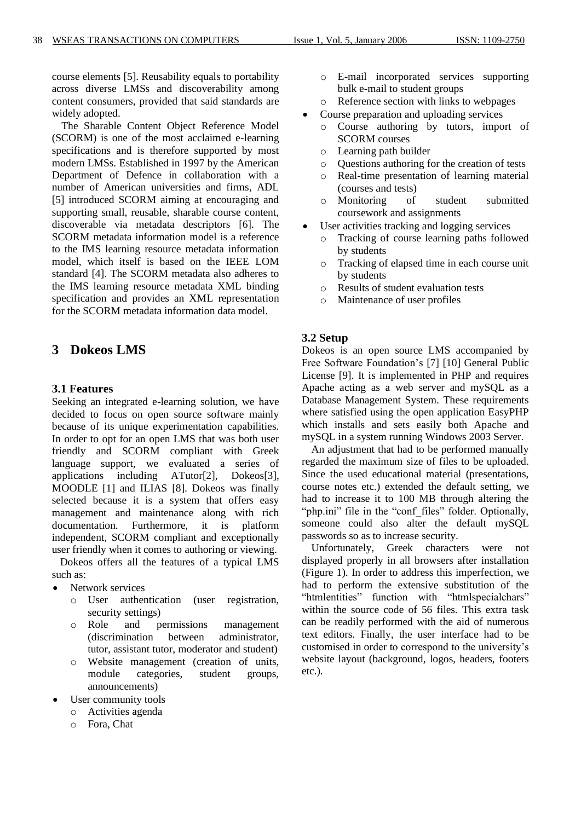course elements [5]. Reusability equals to portability across diverse LMSs and discoverability among content consumers, provided that said standards are widely adopted.

The Sharable Content Object Reference Model (SCORM) is one of the most acclaimed e-learning specifications and is therefore supported by most modern LMSs. Established in 1997 by the American Department of Defence in collaboration with a number of American universities and firms, ADL [5] introduced SCORM aiming at encouraging and supporting small, reusable, sharable course content, discoverable via metadata descriptors [6]. The SCORM metadata information model is a reference to the IMS learning resource metadata information model, which itself is based on the IEEE LOM standard [4]. The SCORM metadata also adheres to the IMS learning resource metadata XML binding specification and provides an XML representation for the SCORM metadata information data model.

## **3 Dokeos LMS**

### **3.1 Features**

Seeking an integrated e-learning solution, we have decided to focus on open source software mainly because of its unique experimentation capabilities. In order to opt for an open LMS that was both user friendly and SCORM compliant with Greek language support, we evaluated a series of applications including ATutor[2], Dokeos[3], MOODLE [1] and ILIAS [8]. Dokeos was finally selected because it is a system that offers easy management and maintenance along with rich documentation. Furthermore, it is platform independent, SCORM compliant and exceptionally user friendly when it comes to authoring or viewing.

 Dokeos offers all the features of a typical LMS such as:

- Network services
	- o User authentication (user registration, security settings)
	- o Role and permissions management (discrimination between administrator, tutor, assistant tutor, moderator and student)
	- o Website management (creation of units, module categories, student groups, announcements)
- User community tools
	- o Activities agenda
	- o Fora, Chat
- o E-mail incorporated services supporting bulk e-mail to student groups
- o Reference section with links to webpages
- Course preparation and uploading services
- o Course authoring by tutors, import of SCORM courses
- o Learning path builder
- o Questions authoring for the creation of tests
- o Real-time presentation of learning material (courses and tests)
- o Monitoring of student submitted coursework and assignments
- User activities tracking and logging services
	- o Tracking of course learning paths followed by students
	- o Tracking of elapsed time in each course unit by students
	- o Results of student evaluation tests
	- o Maintenance of user profiles

### **3.2 Setup**

Dokeos is an open source LMS accompanied by Free Software Foundation's [7] [10] General Public License [9]. It is implemented in PHP and requires Apache acting as a web server and mySQL as a Database Management System. These requirements where satisfied using the open application EasyPHP which installs and sets easily both Apache and mySQL in a system running Windows 2003 Server.

An adjustment that had to be performed manually regarded the maximum size of files to be uploaded. Since the used educational material (presentations, course notes etc.) extended the default setting, we had to increase it to 100 MB through altering the "php.ini" file in the "conf\_files" folder. Optionally, someone could also alter the default mySQL passwords so as to increase security.

Unfortunately, Greek characters were not displayed properly in all browsers after installation (Figure 1). In order to address this imperfection, we had to perform the extensive substitution of the "htmlentities" function with "htmlspecialchars" within the source code of 56 files. This extra task can be readily performed with the aid of numerous text editors. Finally, the user interface had to be customised in order to correspond to the university's website layout (background, logos, headers, footers etc.).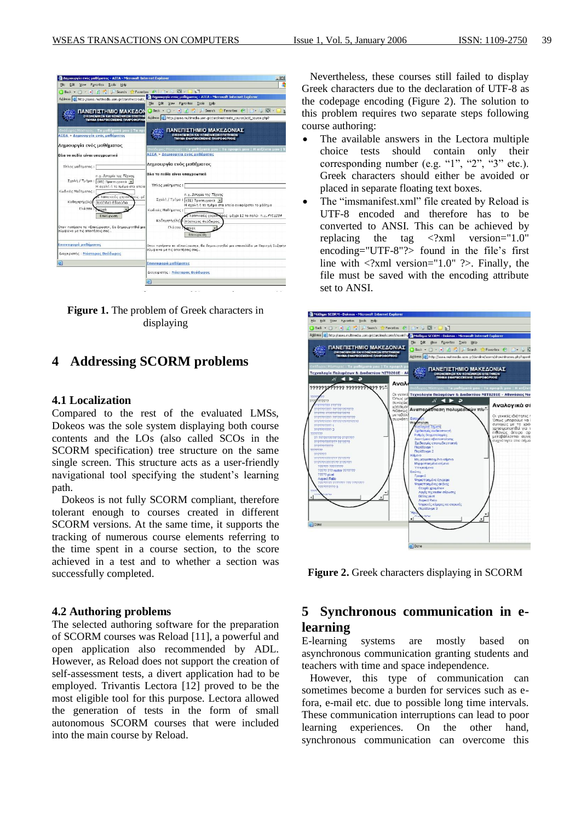| Edit View Favorites Tools Help<br>File                                                              |                                                                                                                    |
|-----------------------------------------------------------------------------------------------------|--------------------------------------------------------------------------------------------------------------------|
| $\bigcirc$ Back $\bullet$ $\bigcirc$ $\bullet$ $\bullet$ $\bigcirc$ $\bigcirc$ $\bigcirc$<br>Search | Favoritos &   A . B . D . H                                                                                        |
|                                                                                                     | - Δημιουργία ενός μαθήματος - ΑΣΕΑ - Microsoft Internet Explorer                                                   |
| Address [8] http://asea.multimedia.uom.gr/claroline/create                                          | File Edit View Favorites Tools<br>Help                                                                             |
|                                                                                                     |                                                                                                                    |
| ΠΑΝΕΠΙΣΤΗΜΙΟ ΜΑΚΕΔΟΝ                                                                                | Back - x z 2 Search E Favorites ( C - B                                                                            |
| <b>ДІКОНОМІКОН КАІ КОІМОНІКОН ЕПІЕТНЯ</b><br><b>ТИНИА ЕФАРМОГИЕННІ ПАНРОФОРІКІ</b>                  | Address (b) http://asea.multimedia.uom.gr/clarcline/create_course/add_course.php?                                  |
| Θεοδωρος Μάστορας: Τα μαθήματά μου   Το πρ<br>ΑΣΕΑ > Δημιουργία ενός μαθήματος                      | ΠΑΝΕΠΙΣΤΗΜΙΟ ΜΑΚΕΔΟΝΙΑΣ<br><b>OIKONOM KON KAJ KOINONIKON EΠIΣTHMON</b><br>ΤΜΗΜΑ ΕΦΑΡΜΟΣΜΕΝΗΣ ΠΑΗΡΟΦΟΡΙΚΗΣ          |
| Δημιουργία ενός μαθήματος                                                                           |                                                                                                                    |
|                                                                                                     | θεόδωρος Μάστορας : <b>Τα μαθήματα μου   Το προφίλ μου   Η ατξέντα μου  </b> '<br>ΑΣΕΑ > Δημιουργία ενός μαθήματος |
| Ολα τα πεδία είναι υποχρεωτικά                                                                      |                                                                                                                    |
| Τίτλος μαθήματος:                                                                                   | Δημιουργία ενός μαθήματος                                                                                          |
| η.χ. Ιστορία της Τέχνης<br>Σχολή / Τμήμα: (01) Προπτυχιακά -<br>Η σχολή ή το τμήμα στα οποία        | Ολα τα πεδία είναι υποχρεωτικά<br>Τίτλος μαθήματος:                                                                |
| Κωδικός Μαθήματος:<br>λατινικούς χαρακτώσες -μέ<br>Kollnyntric(¿c): [juáájñáb Éâgabřib              | η.  Ιστορία της Τέχνης<br>Σχολή / Τμήμα: [(01) Προπτυχιακά<br>Η σχολή ή το τμήμα στα οποία αγαφέρεται το μάθημα    |
| Γλώσσα:<br>ureek<br>Επικύρωση                                                                       | Κωδικός Μαθήματος:                                                                                                 |
|                                                                                                     | Αατινικούς γαρακτάρες -μέγρι 12 το πολύ- n.y. FYS1234                                                              |
|                                                                                                     | Καθηγητής(ές) Μάστορας Θεόδωρος                                                                                    |
| Οταν πατήσετε το «Επικύρωση», θα δημιουργηθεί μια<br>σύμφωνα με τις απαιτήσεις σας                  | Γλώσσα<br>greek<br>Επικύρωση                                                                                       |
| Επαναφορά μαθήματος                                                                                 | Οταν πατήσετε το «Επικύρωση». Θα δημιουργηθεί μια ιστοσελίδα με Περιογή Συζητήσ                                    |
| Διαχειριστής: Μάστορας Θεοδωρος                                                                     | σύμφωνα με τις απαιτήσεις σας                                                                                      |
| ы                                                                                                   | Επαναφορά μαθήματος                                                                                                |
|                                                                                                     | Διαχειριστής: Μάστορας Θεόδωρος                                                                                    |
|                                                                                                     |                                                                                                                    |

**Figure 1.** The problem of Greek characters in displaying

## **4 Addressing SCORM problems**

### **4.1 Localization**

Compared to the rest of the evaluated LMSs, Dokeos was the sole system displaying both course contents and the LOs (also called SCOs in the SCORM specification) tree structure on the same single screen. This structure acts as a user-friendly navigational tool specifying the student's learning path.

Dokeos is not fully SCORM compliant, therefore tolerant enough to courses created in different SCORM versions. At the same time, it supports the tracking of numerous course elements referring to the time spent in a course section, to the score achieved in a test and to whether a section was successfully completed.

#### **4.2 Authoring problems**

The selected authoring software for the preparation of SCORM courses was Reload [11], a powerful and open application also recommended by ADL. However, as Reload does not support the creation of self-assessment tests, a divert application had to be employed. Trivantis Lectora [12] proved to be the most eligible tool for this purpose. Lectora allowed the generation of tests in the form of small autonomous SCORM courses that were included into the main course by Reload.

 Nevertheless, these courses still failed to display Greek characters due to the declaration of UTF-8 as the codepage encoding (Figure 2). The solution to this problem requires two separate steps following course authoring:

- The available answers in the Lectora multiple choice tests should contain only their corresponding number (e.g. "1", "2", "3" etc.). Greek characters should either be avoided or placed in separate floating text boxes.
- The "imsmanifest.xml" file created by Reload is UTF-8 encoded and therefore has to be converted to ANSI. This can be achieved by replacing the tag <?xml version="1.0" encoding="UTF-8"?> found in the file's first line with  $\langle 2x$ ml version="1.0"  $\langle 2x \rangle$ . Finally, the file must be saved with the encoding attribute set to ANSI.



**Figure 2.** Greek characters displaying in SCORM

## **5 Synchronous communication in elearning**

E-learning systems are mostly based on asynchronous communication granting students and teachers with time and space independence.

 However, this type of communication can sometimes become a burden for services such as efora, e-mail etc. due to possible long time intervals. These communication interruptions can lead to poor learning experiences. On the other hand, synchronous communication can overcome this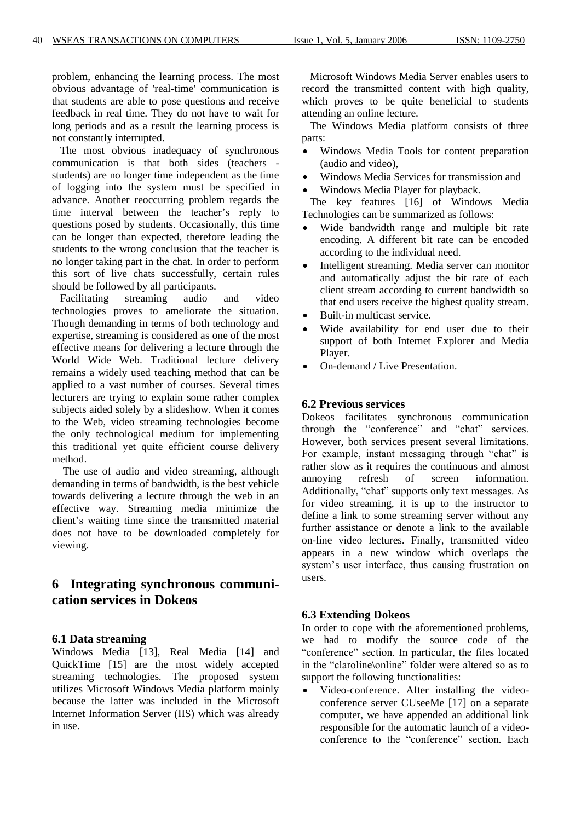problem, enhancing the learning process. The most obvious advantage of 'real-time' communication is that students are able to pose questions and receive feedback in real time. They do not have to wait for long periods and as a result the learning process is not constantly interrupted.

 The most obvious inadequacy of synchronous communication is that both sides (teachers students) are no longer time independent as the time of logging into the system must be specified in advance. Another reoccurring problem regards the time interval between the teacher's reply to questions posed by students. Occasionally, this time can be longer than expected, therefore leading the students to the wrong conclusion that the teacher is no longer taking part in the chat. In order to perform this sort of live chats successfully, certain rules should be followed by all participants.

 Facilitating streaming audio and video technologies proves to ameliorate the situation. Though demanding in terms of both technology and expertise, streaming is considered as one of the most effective means for delivering a lecture through the World Wide Web. Traditional lecture delivery remains a widely used teaching method that can be applied to a vast number of courses. Several times lecturers are trying to explain some rather complex subjects aided solely by a slideshow. When it comes to the Web, video streaming technologies become the only technological medium for implementing this traditional yet quite efficient course delivery method.

 The use of audio and video streaming, although demanding in terms of bandwidth, is the best vehicle towards delivering a lecture through the web in an effective way. Streaming media minimize the client's waiting time since the transmitted material does not have to be downloaded completely for viewing.

## **6 Integrating synchronous communication services in Dokeos**

### **6.1 Data streaming**

Windows Media [13], Real Media [14] and QuickTime [15] are the most widely accepted streaming technologies. The proposed system utilizes Microsoft Windows Media platform mainly because the latter was included in the Microsoft Internet Information Server (IIS) which was already in use.

 Microsoft Windows Media Server enables users to record the transmitted content with high quality, which proves to be quite beneficial to students attending an online lecture.

 The Windows Media platform consists of three parts:

- Windows Media Tools for content preparation (audio and video),
- Windows Media Services for transmission and
- Windows Media Player for playback.

 The key features [16] of Windows Media Technologies can be summarized as follows:

- Wide bandwidth range and multiple bit rate encoding. A different bit rate can be encoded according to the individual need.
- Intelligent streaming. Media server can monitor and automatically adjust the bit rate of each client stream according to current bandwidth so that end users receive the highest quality stream.
- Built-in multicast service.
- Wide availability for end user due to their support of both Internet Explorer and Media Player.
- On-demand / Live Presentation.

### **6.2 Previous services**

Dokeos facilitates synchronous communication through the "conference" and "chat" services. However, both services present several limitations. For example, instant messaging through "chat" is rather slow as it requires the continuous and almost annoying refresh of screen information. Additionally, "chat" supports only text messages. As for video streaming, it is up to the instructor to define a link to some streaming server without any further assistance or denote a link to the available on-line video lectures. Finally, transmitted video appears in a new window which overlaps the system's user interface, thus causing frustration on users.

### **6.3 Extending Dokeos**

In order to cope with the aforementioned problems, we had to modify the source code of the "conference" section. In particular, the files located in the "claroline\online" folder were altered so as to support the following functionalities:

 Video-conference. After installing the videoconference server CUseeMe [17] on a separate computer, we have appended an additional link responsible for the automatic launch of a videoconference to the "conference" section. Each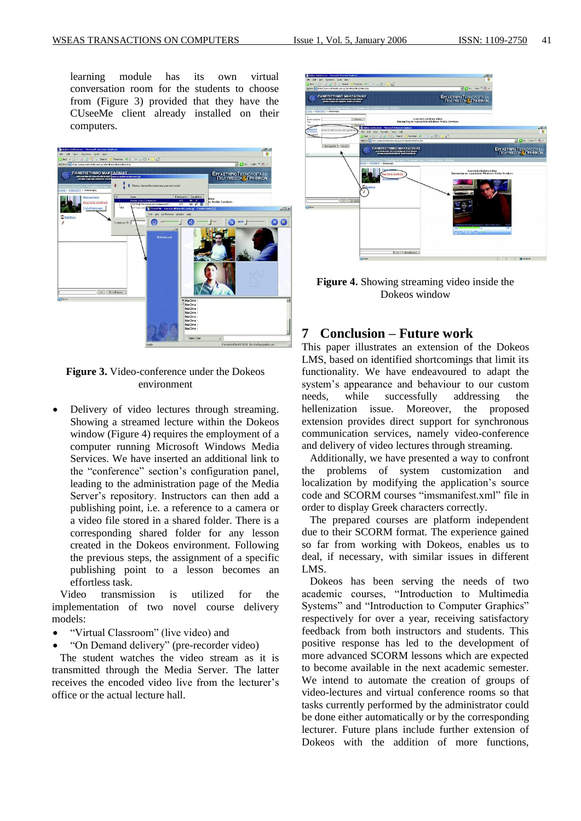learning module has its own virtual conversation room for the students to choose from (Figure 3) provided that they have the CUseeMe client already installed on their computers.



**Figure 3.** Video-conference under the Dokeos environment

 Delivery of video lectures through streaming. Showing a streamed lecture within the Dokeos window (Figure 4) requires the employment of a computer running Microsoft Windows Media Services. We have inserted an additional link to the "conference" section's configuration panel, leading to the administration page of the Media Server's repository. Instructors can then add a publishing point, i.e. a reference to a camera or a video file stored in a shared folder. There is a corresponding shared folder for any lesson created in the Dokeos environment. Following the previous steps, the assignment of a specific publishing point to a lesson becomes an effortless task.

 Video transmission is utilized for the implementation of two novel course delivery models:

- "Virtual Classroom" (live video) and
- "On Demand delivery" (pre-recorder video)

 The student watches the video stream as it is transmitted through the Media Server. The latter receives the encoded video live from the lecturer's office or the actual lecture hall.



**Figure 4.** Showing streaming video inside the Dokeos window

### **7 Conclusion – Future work**

This paper illustrates an extension of the Dokeos LMS, based on identified shortcomings that limit its functionality. We have endeavoured to adapt the system's appearance and behaviour to our custom needs, while successfully addressing the hellenization issue. Moreover, the proposed extension provides direct support for synchronous communication services, namely video-conference and delivery of video lectures through streaming.

 Additionally, we have presented a way to confront the problems of system customization and localization by modifying the application's source code and SCORM courses "imsmanifest.xml" file in order to display Greek characters correctly.

 The prepared courses are platform independent due to their SCORM format. The experience gained so far from working with Dokeos, enables us to deal, if necessary, with similar issues in different LMS.

 Dokeos has been serving the needs of two academic courses, "Introduction to Multimedia Systems" and "Introduction to Computer Graphics" respectively for over a year, receiving satisfactory feedback from both instructors and students. This positive response has led to the development of more advanced SCORM lessons which are expected to become available in the next academic semester. We intend to automate the creation of groups of video-lectures and virtual conference rooms so that tasks currently performed by the administrator could be done either automatically or by the corresponding lecturer. Future plans include further extension of Dokeos with the addition of more functions,